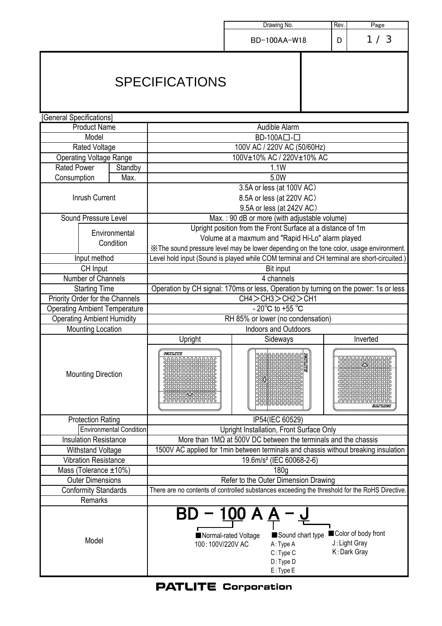|                                      |                                |                                                                                                                                                                                              |                              | Drawing No.                                                 | Rev.<br>Page |     |  |  |  |  |  |
|--------------------------------------|--------------------------------|----------------------------------------------------------------------------------------------------------------------------------------------------------------------------------------------|------------------------------|-------------------------------------------------------------|--------------|-----|--|--|--|--|--|
|                                      |                                |                                                                                                                                                                                              |                              | BD-100AA-W18                                                | D            | 1/3 |  |  |  |  |  |
|                                      |                                | <b>SPECIFICATIONS</b>                                                                                                                                                                        |                              |                                                             |              |     |  |  |  |  |  |
| [General Specifications]             |                                |                                                                                                                                                                                              |                              |                                                             |              |     |  |  |  |  |  |
| <b>Product Name</b>                  |                                | Audible Alarm                                                                                                                                                                                |                              |                                                             |              |     |  |  |  |  |  |
| Model                                |                                | BD-100A口-口                                                                                                                                                                                   |                              |                                                             |              |     |  |  |  |  |  |
| <b>Rated Voltage</b>                 |                                | 100V AC / 220V AC (50/60Hz)                                                                                                                                                                  |                              |                                                             |              |     |  |  |  |  |  |
| <b>Operating Voltage Range</b>       |                                | 100V±10% AC / 220V±10% AC                                                                                                                                                                    |                              |                                                             |              |     |  |  |  |  |  |
| <b>Rated Power</b>                   | Standby                        | 1.1W                                                                                                                                                                                         |                              |                                                             |              |     |  |  |  |  |  |
| Consumption                          | Max.                           | 5.0W                                                                                                                                                                                         |                              |                                                             |              |     |  |  |  |  |  |
| Inrush Current                       |                                | 3.5A or less (at 100V AC)<br>8.5A or less (at 220V AC)<br>9.5A or less (at 242V AC)                                                                                                          |                              |                                                             |              |     |  |  |  |  |  |
| Sound Pressure Level                 |                                |                                                                                                                                                                                              |                              | Max.: 90 dB or more (with adjustable volume)                |              |     |  |  |  |  |  |
|                                      |                                |                                                                                                                                                                                              |                              | Upright position from the Front Surface at a distance of 1m |              |     |  |  |  |  |  |
|                                      | Environmental                  | Volume at a maxmum and "Rapid Hi-Lo" alarm played                                                                                                                                            |                              |                                                             |              |     |  |  |  |  |  |
|                                      | Condition                      | XX The sound pressure level may be lower depending on the tone color, usage environment.                                                                                                     |                              |                                                             |              |     |  |  |  |  |  |
| Input method                         |                                | Level hold input (Sound is played while COM terminal and CH terminal are short-circuited.)                                                                                                   |                              |                                                             |              |     |  |  |  |  |  |
| CH Input                             |                                | Bit input                                                                                                                                                                                    |                              |                                                             |              |     |  |  |  |  |  |
| Number of Channels                   |                                | 4 channels                                                                                                                                                                                   |                              |                                                             |              |     |  |  |  |  |  |
| <b>Starting Time</b>                 |                                | Operation by CH signal: 170ms or less, Operation by turning on the power: 1s or less                                                                                                         |                              |                                                             |              |     |  |  |  |  |  |
| Priority Order for the Channels      |                                | CH4 > CH3 > CH2 > CH1                                                                                                                                                                        |                              |                                                             |              |     |  |  |  |  |  |
| <b>Operating Ambient Temperature</b> |                                |                                                                                                                                                                                              |                              | - 20 $^{\circ}$ C to +55 $^{\circ}$ C                       |              |     |  |  |  |  |  |
| <b>Operating Ambient Humidity</b>    |                                |                                                                                                                                                                                              |                              | RH 85% or lower (no condensation)                           |              |     |  |  |  |  |  |
| <b>Mounting Location</b>             |                                | <b>Indoors and Outdoors</b><br>Inverted                                                                                                                                                      |                              |                                                             |              |     |  |  |  |  |  |
|                                      |                                | Upright                                                                                                                                                                                      | Sideways                     |                                                             |              |     |  |  |  |  |  |
| <b>Mounting Direction</b>            |                                | $\sqrt{2}$<br><b>FAQUARIS</b>                                                                                                                                                                | $\sqrt{1}$<br>F<br>$\sqrt{}$ |                                                             |              |     |  |  |  |  |  |
| <b>Protection Rating</b>             |                                | IP54(IEC 60529)                                                                                                                                                                              |                              |                                                             |              |     |  |  |  |  |  |
|                                      | <b>Environmental Condition</b> | Upright Installation, Front Surface Only                                                                                                                                                     |                              |                                                             |              |     |  |  |  |  |  |
| <b>Insulation Resistance</b>         |                                | More than $1MΩ$ at 500V DC between the terminals and the chassis                                                                                                                             |                              |                                                             |              |     |  |  |  |  |  |
| Withstand Voltage                    |                                | 1500V AC applied for 1min between terminals and chassis without breaking insulation                                                                                                          |                              |                                                             |              |     |  |  |  |  |  |
| <b>Vibration Resistance</b>          |                                | 19.6m/s <sup>2</sup> (IEC 60068-2-6)                                                                                                                                                         |                              |                                                             |              |     |  |  |  |  |  |
| Mass (Tolerance ±10%)                |                                | 180g                                                                                                                                                                                         |                              |                                                             |              |     |  |  |  |  |  |
| <b>Outer Dimensions</b>              |                                | Refer to the Outer Dimension Drawing<br>There are no contents of controlled substances exceeding the threshold for the RoHS Directive.                                                       |                              |                                                             |              |     |  |  |  |  |  |
| <b>Conformity Standards</b>          |                                |                                                                                                                                                                                              |                              |                                                             |              |     |  |  |  |  |  |
| Remarks                              |                                |                                                                                                                                                                                              |                              |                                                             |              |     |  |  |  |  |  |
| Model                                |                                | – <u>100 A A</u><br>Color of body front<br>Sound chart type<br>Normal-rated Voltage<br>J: Light Gray<br>100:100V/220V AC<br>A: Type A<br>K: Dark Gray<br>C: Type C<br>D: Type D<br>E: Type E |                              |                                                             |              |     |  |  |  |  |  |

**PATLITE Corporation**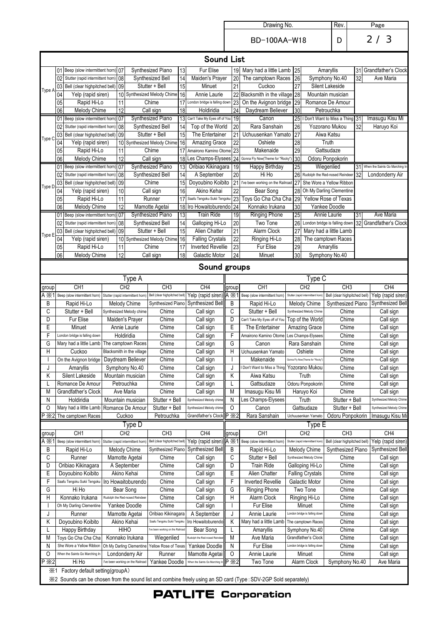Drawing No.

BD-100AA-W18

Rev.

 $\overline{\phantom{a}}$ 

|                                                                                                                  |          |                                                                         |  |          |                                                      |                                                 |                                      |                                                      |                       |                 | TUUTTA IITU                                      |                 |                                                      |                                                   |    |                                       |
|------------------------------------------------------------------------------------------------------------------|----------|-------------------------------------------------------------------------|--|----------|------------------------------------------------------|-------------------------------------------------|--------------------------------------|------------------------------------------------------|-----------------------|-----------------|--------------------------------------------------|-----------------|------------------------------------------------------|---------------------------------------------------|----|---------------------------------------|
| <b>Sound List</b>                                                                                                |          |                                                                         |  |          |                                                      |                                                 |                                      |                                                      |                       |                 |                                                  |                 |                                                      |                                                   |    |                                       |
|                                                                                                                  |          | 01 Beep (slow intermittent horn) 07                                     |  |          |                                                      | Synthesized Piano                               | 13                                   | Fur Elise                                            |                       | 19              | Mary had a little Lamb                           | 25              |                                                      | Amaryllis                                         | 31 | Grandfather's Clock                   |
|                                                                                                                  | 02       | Stutter (rapid intermittent horn                                        |  | 08       |                                                      | Synthesized Bell                                | 14                                   | Maiden's Prayer                                      |                       | 20              | The camptown Races                               | 26              |                                                      | Symphony No.40                                    | 32 | Ave Maria                             |
| Type A                                                                                                           |          | 03 Bell (clear highpitched bell) 09                                     |  |          |                                                      | Stutter + Bell                                  | 15                                   | Minuet                                               |                       | 21              | Cuckoo                                           | 27              |                                                      | Silent Lakeside                                   |    |                                       |
|                                                                                                                  | 04       | Yelp (rapid siren)                                                      |  |          |                                                      | 10 Synthesized Melody Chime                     | 16                                   | Annie Laurie                                         |                       | 22              | Blacksmith in the village 28                     |                 |                                                      | Mountain musician                                 |    |                                       |
|                                                                                                                  | 05       | Rapid Hi-Lo                                                             |  | 11       |                                                      | Chime                                           |                                      | 17 London bridge is falling down                     |                       | 23              | On the Avignon bridge 29                         |                 |                                                      | Romance De Amour                                  |    |                                       |
|                                                                                                                  | 06       | Melody Chime                                                            |  | 12       |                                                      | Call sign                                       | 18                                   | Holdiridia                                           |                       | 24              | Daydream Believer                                | 30              |                                                      | Petrouchka                                        |    | Imasugu Kisu Mi                       |
|                                                                                                                  | 02       | 01 Beep (slow intermittent horn) 07<br>Stutter (rapid intermittent horn |  | 08       |                                                      | Synthesized Piano<br>Synthesized Bell           | 14                                   | 13 Can't Take My Eyes off of You<br>Top of the World |                       | 19<br>20        | Canon<br>Rara Sanshain                           | 25<br>26        |                                                      | I Don't Want to Miss a Thing 31<br>Yozorano Mukou | 32 | Haruyo Koi                            |
|                                                                                                                  |          | 03 Bell (clear highpitched bell) 09                                     |  |          |                                                      | Stutter + Bell                                  | 15                                   | The Entertainer                                      |                       | 21              | Uchuusenkan Yamato                               | $\overline{27}$ |                                                      | Aiwa Katsu                                        |    |                                       |
| Type C                                                                                                           | 04       | Yelp (rapid siren)                                                      |  | 10       |                                                      | Synthesized Melody Chime                        | 16                                   | Amazing Grace                                        |                       | 22              | Oshiete                                          | 28              |                                                      | Truth                                             |    |                                       |
|                                                                                                                  | 05       | Rapid Hi-Lo                                                             |  | 11       |                                                      | Chime                                           |                                      | 17 Amairono Kamino Otome                             |                       | 23              | Makenaide                                        | 29              |                                                      | Gattsudaze                                        |    |                                       |
|                                                                                                                  | 06       | Melody Chime                                                            |  | 12       |                                                      | Call sign                                       |                                      | 18 Les Champs-Elysees                                |                       | 24              | Gonna Fly Now(Theme for "Rocky'                  | 30              |                                                      | Odoru Ponpokorin                                  |    |                                       |
|                                                                                                                  |          | 01 Beep (slow intermittent horn) 07                                     |  |          |                                                      | Synthesized Piano                               | 13                                   | Oribiao Kikinagara                                   |                       | 19              | Happy Birthday                                   | $\overline{25}$ |                                                      | Wiegenlied                                        | 31 | When the Saints Go Marching In        |
|                                                                                                                  | 02       | Stutter (rapid intermittent horn                                        |  | 08       |                                                      | Synthesized Bell                                | 14                                   | A September                                          |                       | $\overline{20}$ | Hi Ho                                            | 26              |                                                      | Rudolph the Red-nosed Reindee                     | 32 | Londonderry Air                       |
| Type D                                                                                                           |          | 03 Bell (clear highpitched bell)                                        |  | 09       |                                                      | Chime                                           | 15                                   | Doyoubino Koibito                                    |                       | 21              | I've been working on the Railroad                | 27              |                                                      | She Wore a Yellow Ribbon                          |    |                                       |
|                                                                                                                  | 04       | Yelp (rapid siren)                                                      |  | 10       |                                                      | Call sign                                       | 16                                   | Akino Kehai                                          |                       | 22              | Bear Song                                        | 28              |                                                      | Oh My Darling Clementine                          |    |                                       |
|                                                                                                                  | 05<br>06 | Rapid Hi-Lo<br>Melody Chime                                             |  | 11<br>12 |                                                      | Runner<br>Mamotte Agetai                        | 17                                   | Saafu Tengoku Sukii Tengoku                          |                       | 23<br>24        | Toys Go Cha Cha Cha<br>Konnako Irukana           | 29              | Yellow Rose of Texas<br>30<br>Yankee Doodle          |                                                   |    |                                       |
|                                                                                                                  |          | 01 Beep (slow intermittent horn) 07                                     |  |          |                                                      | Synthesized Piano                               | 13                                   | 18 Iro Howaitoburendo<br><b>Train Ride</b>           |                       | 19              | <b>Ringing Phone</b>                             | 25              | Annie Laurie                                         |                                                   | 31 | Ave Maria                             |
|                                                                                                                  | 021      | Stutter (rapid intermittent horn                                        |  | 08       |                                                      | Synthesized Bell                                | 14                                   | Galloping Hi-Lo                                      |                       | 20              | Two Tone                                         | 26              |                                                      | London bridge is falling dowr                     |    | 32 Grandfather's Clock                |
|                                                                                                                  |          | 03 Bell (clear highpitched bell)                                        |  | 09       |                                                      | Stutter + Bell                                  | 15                                   | Alien Chatter                                        |                       | $\overline{21}$ | Alarm Clock                                      | 27              |                                                      | Mary had a little Lamb                            |    |                                       |
| Type E                                                                                                           | 04       | Yelp (rapid siren)                                                      |  |          |                                                      | 10 Synthesized Melody Chime                     | 16                                   | Falling Crystals                                     |                       | $\overline{22}$ | Ringing Hi-Lo                                    | 28              |                                                      | The camptown Races                                |    |                                       |
|                                                                                                                  | 05       | Rapid Hi-Lo                                                             |  | 11       |                                                      | Chime                                           | 17                                   | <b>Inverted Revellie</b>                             |                       | 23              | Fur Elise                                        | 29              |                                                      | Amaryllis                                         |    |                                       |
|                                                                                                                  | 06       | Melody Chime                                                            |  | 12       |                                                      | Call sign                                       | 18                                   | Galactic Motor                                       |                       | 24              | Minuet                                           | 30              |                                                      | Symphony No.40                                    |    |                                       |
|                                                                                                                  |          |                                                                         |  |          |                                                      |                                                 |                                      | Sound groups                                         |                       |                 |                                                  |                 |                                                      |                                                   |    |                                       |
|                                                                                                                  |          |                                                                         |  |          |                                                      |                                                 |                                      |                                                      |                       |                 |                                                  |                 |                                                      |                                                   |    |                                       |
|                                                                                                                  |          |                                                                         |  |          | Type A                                               |                                                 |                                      |                                                      |                       |                 |                                                  |                 | Type C                                               |                                                   |    |                                       |
| group<br>$A \times 1$                                                                                            |          | CH <sub>1</sub>                                                         |  |          | CH <sub>2</sub><br>Stutter (rapid intermittent horn) | CH <sub>3</sub><br>Bell (clear highpitched bell |                                      | CH4<br>Yelp (rapid siren)                            | group<br>$A \times 1$ |                 | CH <sub>1</sub><br>Beep (slow intermittent horn) |                 | CH <sub>2</sub><br>Stutter (rapid intermittent horn) | CH <sub>3</sub><br>Bell (clear highpitched bell)  |    | CH <sub>4</sub><br>Yelp (rapid siren) |
| В                                                                                                                |          | Beep (slow intermittent horn)<br>Rapid Hi-Lo                            |  |          | Melody Chime                                         | Synthesized Piano                               |                                      | Synthesized Bell                                     | B                     |                 | Rapid Hi-Lo                                      |                 | Melody Chime                                         | Synthesized Piano                                 |    | Synthesized Bell                      |
| С                                                                                                                |          | Stutter + Bell                                                          |  |          | Synthesized Melody chime                             | Chime                                           |                                      | Call sign                                            | C                     |                 | Stutter + Bell                                   |                 | Synthesized Melody Chime                             | Chime                                             |    | Call sign                             |
| D                                                                                                                |          | Fur Elise                                                               |  |          | Maiden's Prayer                                      | Chime                                           |                                      | Call sign                                            | D                     |                 | Can't Take My Eyes off of You                    |                 | Top of the World                                     | Chime                                             |    | Call sign                             |
| E                                                                                                                |          | Minuet                                                                  |  |          | Annie Laurie                                         | Chime                                           |                                      | Call sign                                            | Ε                     |                 | The Entertainer                                  |                 | Amazing Grace                                        | Chime                                             |    | Call sign                             |
| F                                                                                                                |          | London bridge is falling down                                           |  |          | Holdiridia                                           | Chime                                           |                                      | F<br>Call sign                                       |                       |                 | Amairono Kamino Otome                            |                 | Les Champs-Elysees                                   | Chime                                             |    | Call sign                             |
| G                                                                                                                |          | Mary had a little Lamb                                                  |  |          | The camptown Races                                   | Chime                                           |                                      | G<br>Call sign                                       |                       |                 | Canon                                            |                 | Rara Sanshain                                        | Chime                                             |    | Call sign                             |
| Η                                                                                                                |          | Cuckoo                                                                  |  |          | Blacksmith in the village                            | Chime                                           |                                      | Call sign                                            | Η                     |                 | Uchuusenkan Yamato                               |                 | Oshiete                                              | Chime                                             |    | Call sign                             |
|                                                                                                                  |          | On the Avignon bridge                                                   |  |          | Daydream Believer                                    | Chime                                           |                                      | Call sign                                            |                       |                 | Makenaide                                        |                 | Gonna Fly Now(Theme for "Rocky"                      | Chime                                             |    | Call sign                             |
| J                                                                                                                |          | Amaryllis                                                               |  |          | Symphony No.40                                       | Chime                                           |                                      | Call sign                                            | J                     |                 | I Don't Want to Miss a Thing Yozorano Mukou      |                 |                                                      | Chime                                             |    | Call sign                             |
| Κ                                                                                                                |          | Silent Lakeside                                                         |  |          | Mountain musician                                    | Chime                                           |                                      | Call sign                                            | K                     |                 | Aiwa Katsu                                       |                 | Truth                                                | Chime                                             |    | Call sign                             |
|                                                                                                                  |          | Romance De Amour                                                        |  |          | Petrouchka                                           | Chime                                           |                                      | Call sign                                            | L                     |                 | Gattsudaze                                       |                 | Odoru Ponpokorin                                     | Chime<br>Chime                                    |    | Call sign                             |
| M<br>Ν                                                                                                           |          | Grandfather's Clock<br>Holdiridia                                       |  |          | Ave Maria<br>Mountain musician                       | Chime<br>Stutter + Bell                         | Call sign<br>Synthesized Melody chim |                                                      | Μ<br>N                |                 | Imasugu Kisu Mi<br>Les Champs-Elysees            |                 | Haruyo Koi<br>Truth                                  | Stutter + Bell                                    |    | Call sign<br>Synthesized Melody Chime |
| 0                                                                                                                |          | Mary had a little Lamb                                                  |  |          | Romance De Amour                                     | Stutter + Bell                                  |                                      | Synthesized Melody chim                              | 0                     |                 | Canon                                            |                 | Gattsudaze                                           | Stutter + Bell                                    |    | Synthesized Melody Chime              |
| P X2                                                                                                             |          | The camptown Races                                                      |  |          | Cuckoo                                               | Petrouchka                                      |                                      | Grandfather's Clock                                  | $P \times 2$          |                 | Rara Sanshain                                    |                 | Uchuusenkan Yamato                                   | Odoru Ponpokorin                                  |    | Imasugu Kisu Mi                       |
|                                                                                                                  |          |                                                                         |  |          | Type D                                               |                                                 |                                      |                                                      |                       |                 |                                                  |                 | l ype E                                              |                                                   |    |                                       |
| group                                                                                                            |          | CH <sub>1</sub>                                                         |  |          | CH <sub>2</sub>                                      | CH <sub>3</sub>                                 |                                      | CH <sub>4</sub>                                      | group                 |                 | CH <sub>1</sub>                                  |                 | CH <sub>2</sub>                                      | CH <sub>3</sub>                                   |    | CH4                                   |
| $A \times 1$                                                                                                     |          | Beep (slow intermittent horn)                                           |  |          | Stutter (rapid intermittent horn                     | Bell (clear highpitched bel                     |                                      | Yelp (rapid siren                                    | A X´                  |                 | Beep (slow intermittent horn)                    |                 | Stutter (rapid intermittent hon                      | Bell (clear highpitched bell)                     |    | Yelp (rapid siren)                    |
| В                                                                                                                |          | Rapid Hi-Lo                                                             |  |          | Melody Chime                                         | Synthesized Piano                               |                                      | Synthesized Bell                                     | B                     |                 | Rapid Hi-Lo                                      |                 | Melody Chime                                         | Synthesized Piano                                 |    | Synthesized Bell                      |
| С                                                                                                                |          | Runner                                                                  |  |          | Mamotte Agetai                                       | Chime                                           |                                      | Call sign                                            | С                     |                 | Stutter + Bell                                   |                 | Synthesized Melody Chime                             | Chime                                             |    | Call sign                             |
| D                                                                                                                |          | Oribiao Kikinagara                                                      |  |          | A September                                          | Chime                                           |                                      | Call sign                                            | D                     |                 | <b>Train Ride</b>                                |                 | Galloping Hi-Lo                                      | Chime                                             |    | Call sign                             |
| E                                                                                                                |          | Doyoubino Koibito                                                       |  |          | Akino Kehai                                          | Chime                                           |                                      | Call sign                                            | Ε                     |                 | Alien Chatter                                    |                 | <b>Falling Crystals</b>                              | Chime                                             |    | Call sign                             |
| F                                                                                                                |          | Saafu Tengoku Sukii Tengoku<br>Hi Ho                                    |  |          | Iro Howaitoburendo<br>Bear Song                      | Chime<br>Chime                                  |                                      | Call sign                                            | F                     |                 | <b>Inverted Revellie</b>                         |                 | Galactic Motor<br>Two Tone                           | Chime                                             |    | Call sign                             |
| G<br>H                                                                                                           |          | Konnako Irukana                                                         |  |          | Rudolph the Red-nosed Reindeer                       | Chime                                           |                                      | Call sign<br>Call sign                               | G<br>Н                |                 | <b>Ringing Phone</b><br>Alarm Clock              |                 | Ringing Hi-Lo                                        | Chime<br>Chime                                    |    | Call sign<br>Call sign                |
|                                                                                                                  |          | Oh My Darling Clementine                                                |  |          | Chime<br>Yankee Doodle                               |                                                 |                                      | Call sign                                            |                       |                 | Fur Elise                                        |                 | Minuet                                               | Chime                                             |    | Call sign                             |
| J                                                                                                                |          | Runner                                                                  |  |          | Mamotte Agetai                                       | Oribiao Kikinagara                              |                                      | A September                                          | J                     |                 | Annie Laurie                                     |                 | London bridge is falling down                        | Chime                                             |    | Call sign                             |
| Κ                                                                                                                |          | Doyoubino Koibito                                                       |  |          | Akino Kehai                                          | Saafu Tengoku Sukii Tengoku                     |                                      | Iro Howaitoburendo                                   | Κ                     |                 | Mary had a little Lamb                           |                 | The camptown Races                                   | Chime                                             |    | Call sign                             |
| L                                                                                                                |          | Happy Birthday                                                          |  |          | <b>HIHO</b>                                          | I've been working on the Railroad               |                                      | Bear Song                                            | L                     |                 | Amaryllis                                        |                 | Symphony No.40                                       | Chime                                             |    | Call sign                             |
| Μ                                                                                                                |          | Toys Go Cha Cha Cha                                                     |  |          | Konnako Irukana                                      | Wiegenlied                                      |                                      | Rudolph the Red-nosed Reindr                         | M                     |                 | Ave Maria                                        |                 | Grandfather's Clock                                  | Chime                                             |    | Call sign                             |
| Ν                                                                                                                |          | She Wore a Yellow Ribbon                                                |  |          | Oh My Darling Clementine                             | Yellow Rose of Texas                            |                                      | Yankee Doodle                                        | N                     |                 | Fur Elise                                        |                 | London bridge is falling down                        | Chime                                             |    | Call sign                             |
| 0                                                                                                                |          | When the Saints Go Marching In                                          |  |          | Londonderry Air                                      | Runner                                          |                                      | Mamotte Agetai                                       | 0                     |                 | Annie Laurie                                     |                 | Minuet                                               | Chime                                             |    | Call sign                             |
| X <sup>2</sup>                                                                                                   |          | Hi Ho                                                                   |  |          | I've been working on the Railroad                    | Yankee Doodle                                   |                                      | When the Saints Go Marching                          | $P \times 2$          |                 | Two Tone                                         |                 | Alarm Clock                                          | Symphony No.40                                    |    | Ave Maria                             |
|                                                                                                                  |          | *1 Factory default setting(groupA)                                      |  |          |                                                      |                                                 |                                      |                                                      |                       |                 |                                                  |                 |                                                      |                                                   |    |                                       |
| XX2 Sounds can be chosen from the sound list and combine freely using an SD card (Type: SDV-2GP Sold separately) |          |                                                                         |  |          |                                                      |                                                 |                                      |                                                      |                       |                 |                                                  |                 |                                                      |                                                   |    |                                       |

**PATLITE Corporation**